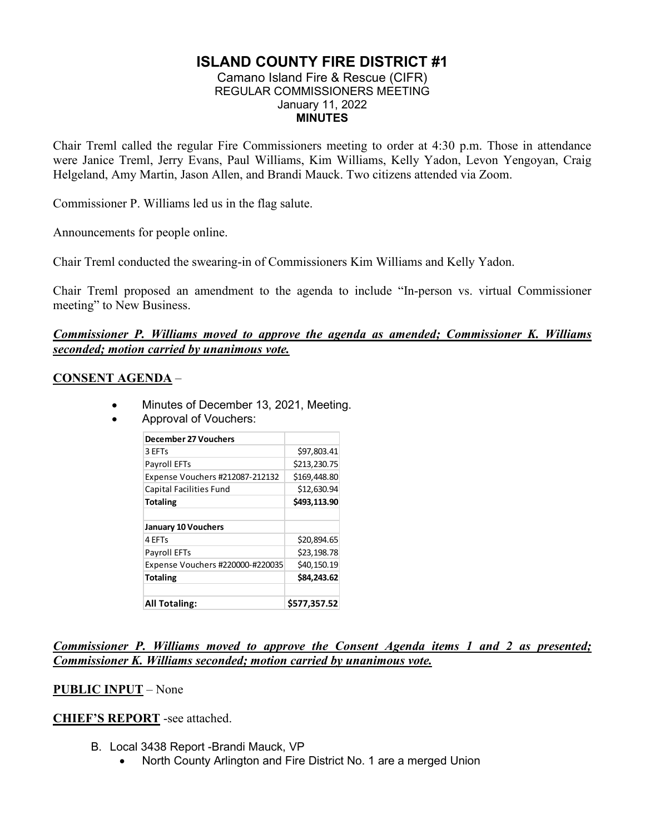# **ISLAND COUNTY FIRE DISTRICT #1**

#### Camano Island Fire & Rescue (CIFR) REGULAR COMMISSIONERS MEETING January 11, 2022 **MINUTES**

Chair Treml called the regular Fire Commissioners meeting to order at 4:30 p.m. Those in attendance were Janice Treml, Jerry Evans, Paul Williams, Kim Williams, Kelly Yadon, Levon Yengoyan, Craig Helgeland, Amy Martin, Jason Allen, and Brandi Mauck. Two citizens attended via Zoom.

Commissioner P. Williams led us in the flag salute.

Announcements for people online.

Chair Treml conducted the swearing-in of Commissioners Kim Williams and Kelly Yadon.

Chair Treml proposed an amendment to the agenda to include "In-person vs. virtual Commissioner meeting" to New Business.

#### *Commissioner P. Williams moved to approve the agenda as amended; Commissioner K. Williams seconded; motion carried by unanimous vote.*

### **CONSENT AGENDA** –

- Minutes of December 13, 2021, Meeting.
- Approval of Vouchers:

| <b>December 27 Vouchers</b>      |              |
|----------------------------------|--------------|
| 3 EFTs                           | \$97,803.41  |
| Payroll EFTs                     | \$213,230.75 |
| Expense Vouchers #212087-212132  | \$169,448.80 |
| Capital Facilities Fund          | \$12,630.94  |
| <b>Totaling</b>                  | \$493,113.90 |
|                                  |              |
| <b>January 10 Vouchers</b>       |              |
| 4 EFTs                           | \$20,894.65  |
| Payroll EFTs                     | \$23,198.78  |
| Expense Vouchers #220000-#220035 | \$40,150.19  |
| <b>Totaling</b>                  | \$84,243.62  |
| <b>All Totaling:</b>             | \$577.357.52 |

*Commissioner P. Williams moved to approve the Consent Agenda items 1 and 2 as presented; Commissioner K. Williams seconded; motion carried by unanimous vote.* 

### **PUBLIC INPUT** – None

**CHIEF'S REPORT** -see attached.

- B. Local 3438 Report -Brandi Mauck, VP
	- North County Arlington and Fire District No. 1 are a merged Union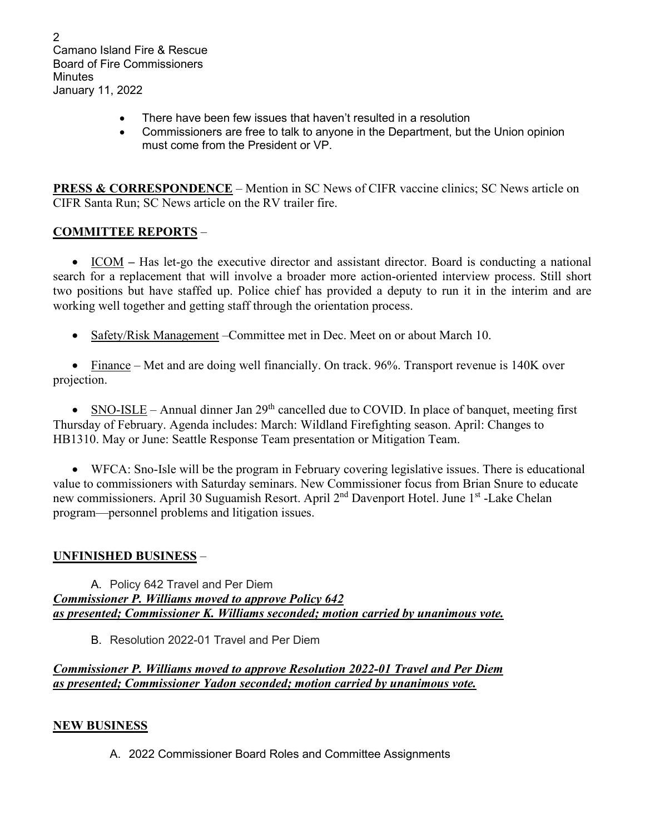2 Camano Island Fire & Rescue Board of Fire Commissioners **Minutes** January 11, 2022

- There have been few issues that haven't resulted in a resolution
- Commissioners are free to talk to anyone in the Department, but the Union opinion must come from the President or VP.

**PRESS & CORRESPONDENCE** – Mention in SC News of CIFR vaccine clinics; SC News article on CIFR Santa Run; SC News article on the RV trailer fire.

## **COMMITTEE REPORTS** –

• ICOM – Has let-go the executive director and assistant director. Board is conducting a national search for a replacement that will involve a broader more action-oriented interview process. Still short two positions but have staffed up. Police chief has provided a deputy to run it in the interim and are working well together and getting staff through the orientation process.

• Safety/Risk Management – Committee met in Dec. Meet on or about March 10.

• Finance – Met and are doing well financially. On track. 96%. Transport revenue is 140K over projection.

• SNO-ISLE – Annual dinner Jan  $29<sup>th</sup>$  cancelled due to COVID. In place of banquet, meeting first Thursday of February. Agenda includes: March: Wildland Firefighting season. April: Changes to HB1310. May or June: Seattle Response Team presentation or Mitigation Team.

• WFCA: Sno-Isle will be the program in February covering legislative issues. There is educational value to commissioners with Saturday seminars. New Commissioner focus from Brian Snure to educate new commissioners. April 30 Suguamish Resort. April 2nd Davenport Hotel. June 1st -Lake Chelan program—personnel problems and litigation issues.

## **UNFINISHED BUSINESS** –

A. Policy 642 Travel and Per Diem *Commissioner P. Williams moved to approve Policy 642 as presented; Commissioner K. Williams seconded; motion carried by unanimous vote.*

B. Resolution 2022-01 Travel and Per Diem

*Commissioner P. Williams moved to approve Resolution 2022-01 Travel and Per Diem as presented; Commissioner Yadon seconded; motion carried by unanimous vote.*

### **NEW BUSINESS**

A. 2022 Commissioner Board Roles and Committee Assignments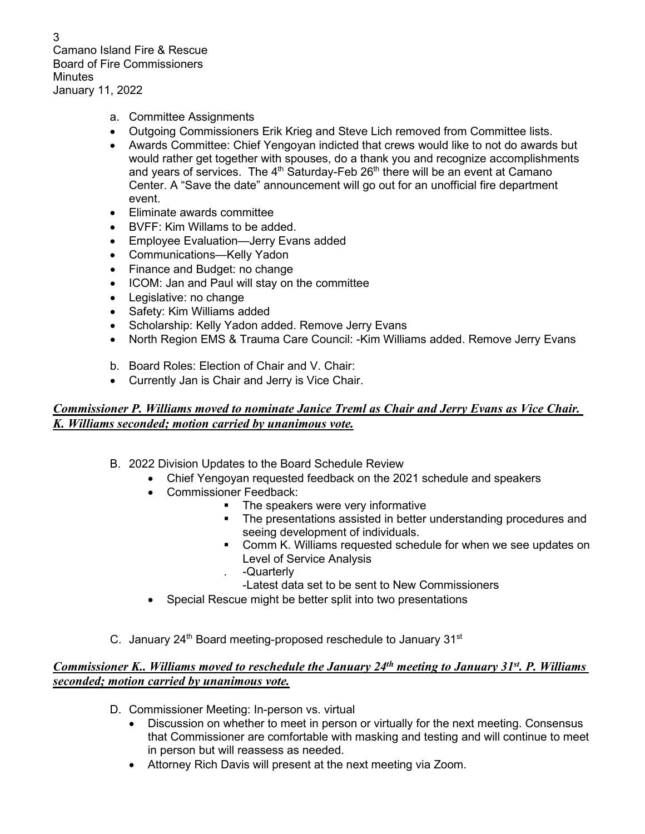3 Camano Island Fire & Rescue Board of Fire Commissioners **Minutes** January 11, 2022

- a. Committee Assignments
- Outgoing Commissioners Erik Krieg and Steve Lich removed from Committee lists.
- Awards Committee: Chief Yengoyan indicted that crews would like to not do awards but would rather get together with spouses, do a thank you and recognize accomplishments and years of services. The  $4<sup>th</sup>$  Saturday-Feb 26<sup>th</sup> there will be an event at Camano Center. A "Save the date" announcement will go out for an unofficial fire department event.
- Eliminate awards committee
- BVFF: Kim Willams to be added.
- Employee Evaluation—Jerry Evans added
- Communications—Kelly Yadon
- Finance and Budget: no change
- ICOM: Jan and Paul will stay on the committee
- Legislative: no change
- Safety: Kim Williams added
- Scholarship: Kelly Yadon added. Remove Jerry Evans
- North Region EMS & Trauma Care Council: -Kim Williams added. Remove Jerry Evans
- b. Board Roles: Election of Chair and V. Chair:
- Currently Jan is Chair and Jerry is Vice Chair.

## *Commissioner P. Williams moved to nominate Janice Treml as Chair and Jerry Evans as Vice Chair. K. Williams seconded; motion carried by unanimous vote.*

- B. 2022 Division Updates to the Board Schedule Review
	- Chief Yengoyan requested feedback on the 2021 schedule and speakers
	- Commissioner Feedback:
		- The speakers were very informative
		- The presentations assisted in better understanding procedures and seeing development of individuals.
		- **Comm K. Williams requested schedule for when we see updates on** Level of Service Analysis
		- . -Quarterly
		- -Latest data set to be sent to New Commissioners
	- Special Rescue might be better split into two presentations
- C. January  $24<sup>th</sup>$  Board meeting-proposed reschedule to January  $31<sup>st</sup>$

## *Commissioner K.. Williams moved to reschedule the January 24th meeting to January 31st. P. Williams seconded; motion carried by unanimous vote.*

- D. Commissioner Meeting: In-person vs. virtual
	- Discussion on whether to meet in person or virtually for the next meeting. Consensus that Commissioner are comfortable with masking and testing and will continue to meet in person but will reassess as needed.
	- Attorney Rich Davis will present at the next meeting via Zoom.